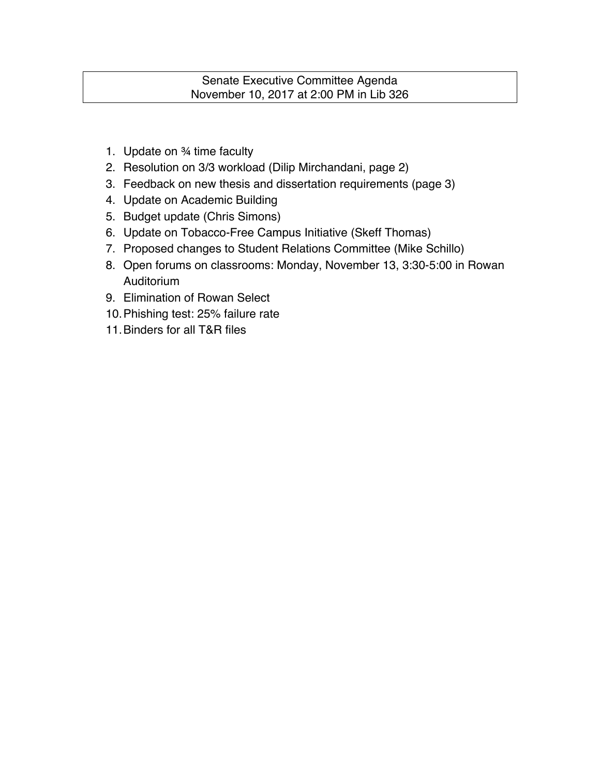# Senate Executive Committee Agenda November 10, 2017 at 2:00 PM in Lib 326

- 1. Update on ¾ time faculty
- 2. Resolution on 3/3 workload (Dilip Mirchandani, page 2)
- 3. Feedback on new thesis and dissertation requirements (page 3)
- 4. Update on Academic Building
- 5. Budget update (Chris Simons)
- 6. Update on Tobacco-Free Campus Initiative (Skeff Thomas)
- 7. Proposed changes to Student Relations Committee (Mike Schillo)
- 8. Open forums on classrooms: Monday, November 13, 3:30-5:00 in Rowan Auditorium
- 9. Elimination of Rowan Select
- 10.Phishing test: 25% failure rate
- 11.Binders for all T&R files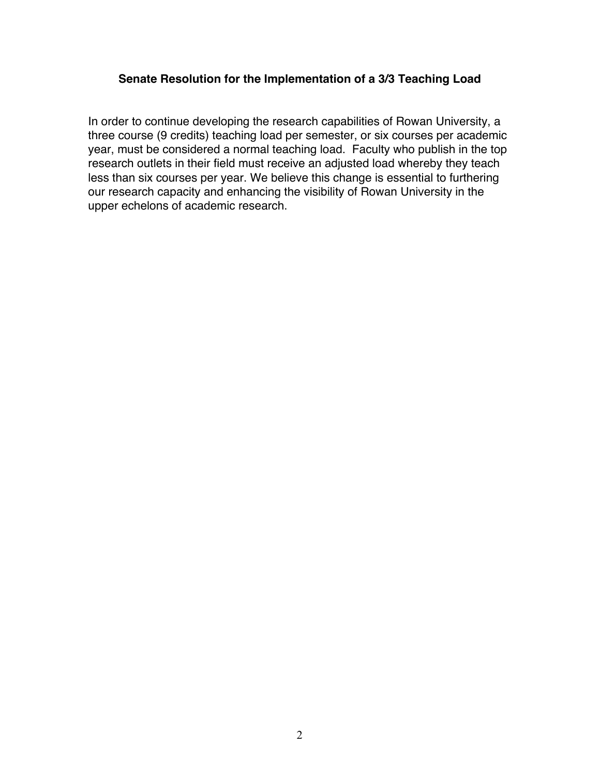## **Senate Resolution for the Implementation of a 3/3 Teaching Load**

In order to continue developing the research capabilities of Rowan University, a three course (9 credits) teaching load per semester, or six courses per academic year, must be considered a normal teaching load. Faculty who publish in the top research outlets in their field must receive an adjusted load whereby they teach less than six courses per year. We believe this change is essential to furthering our research capacity and enhancing the visibility of Rowan University in the upper echelons of academic research.